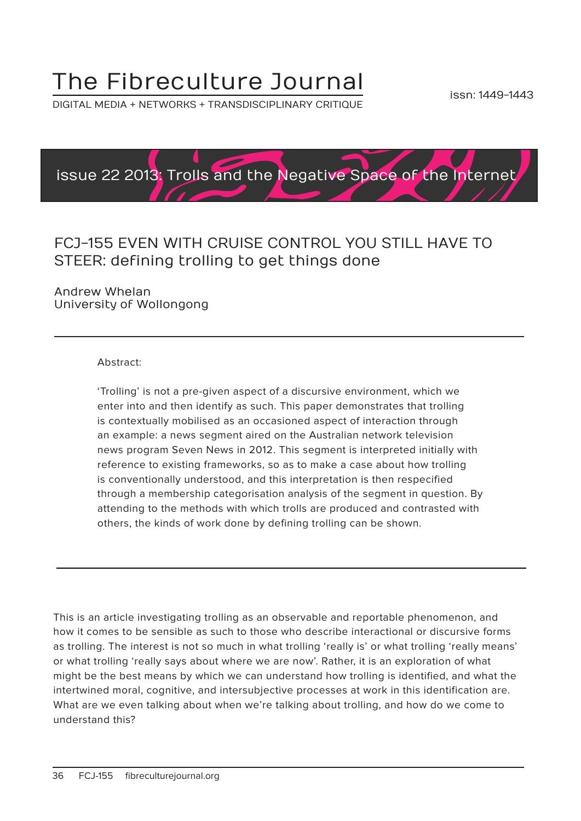## The Fibreculture Journal

DIGITAL MEDIA + NETWORKS + TRANSDISCIPLINARY CRITIQUE



### FCJ-155 EVEN WITH CRUISE CONTROL YOU STILL HAVE TO STEER: defining trolling to get things done

Andrew Whelan University of Wollongong

#### Abstract:

'Trolling' is not a pre-given aspect of a discursive environment, which we enter into and then identify as such. This paper demonstrates that trolling is contextually mobilised as an occasioned aspect of interaction through an example: a news segment aired on the Australian network television news program Seven News in 2012. This segment is interpreted initially with reference to existing frameworks, so as to make a case about how trolling is conventionally understood, and this interpretation is then respecified through a membership categorisation analysis of the segment in question. By attending to the methods with which trolls are produced and contrasted with others, the kinds of work done by defining trolling can be shown.

This is an article investigating trolling as an observable and reportable phenomenon, and how it comes to be sensible as such to those who describe interactional or discursive forms as trolling. The interest is not so much in what trolling 'really is' or what trolling 'really means' or what trolling 'really says about where we are now'. Rather, it is an exploration of what might be the best means by which we can understand how trolling is identified, and what the intertwined moral, cognitive, and intersubjective processes at work in this identification are. What are we even talking about when we're talking about trolling, and how do we come to understand this?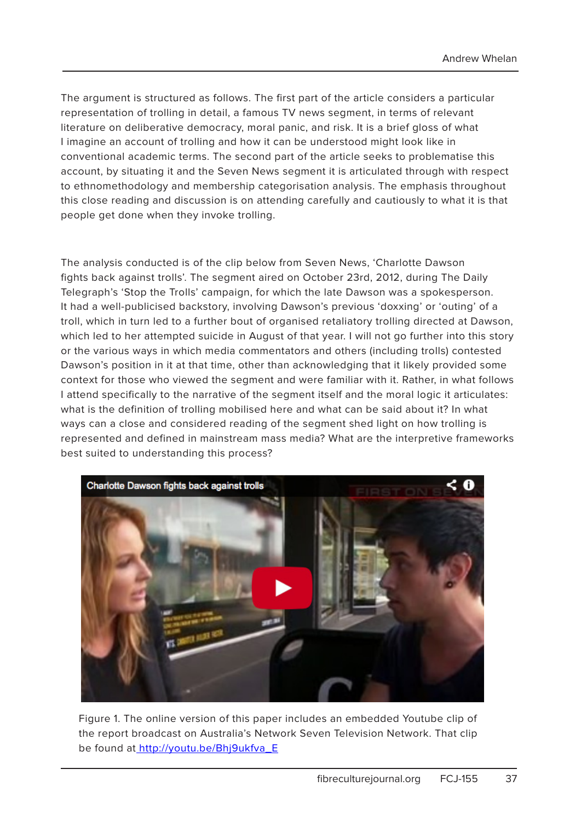The argument is structured as follows. The first part of the article considers a particular representation of trolling in detail, a famous TV news segment, in terms of relevant literature on deliberative democracy, moral panic, and risk. It is a brief gloss of what I imagine an account of trolling and how it can be understood might look like in conventional academic terms. The second part of the article seeks to problematise this account, by situating it and the Seven News segment it is articulated through with respect to ethnomethodology and membership categorisation analysis. The emphasis throughout this close reading and discussion is on attending carefully and cautiously to what it is that people get done when they invoke trolling.

The analysis conducted is of the clip below from Seven News, 'Charlotte Dawson fights back against trolls'. The segment aired on October 23rd, 2012, during The Daily Telegraph's 'Stop the Trolls' campaign, for which the late Dawson was a spokesperson. It had a well-publicised backstory, involving Dawson's previous 'doxxing' or 'outing' of a troll, which in turn led to a further bout of organised retaliatory trolling directed at Dawson, which led to her attempted suicide in August of that year. I will not go further into this story or the various ways in which media commentators and others (including trolls) contested Dawson's position in it at that time, other than acknowledging that it likely provided some context for those who viewed the segment and were familiar with it. Rather, in what follows I attend specifically to the narrative of the segment itself and the moral logic it articulates: what is the definition of trolling mobilised here and what can be said about it? In what ways can a close and considered reading of the segment shed light on how trolling is represented and defined in mainstream mass media? What are the interpretive frameworks best suited to understanding this process?



Figure 1. The online version of this paper includes an embedded Youtube clip of the report broadcast on Australia's Network Seven Television Network. That clip be found a[t http://youtu.be/Bhj9ukfva\\_E]( http://youtu.be/Bhj9ukfva_E.)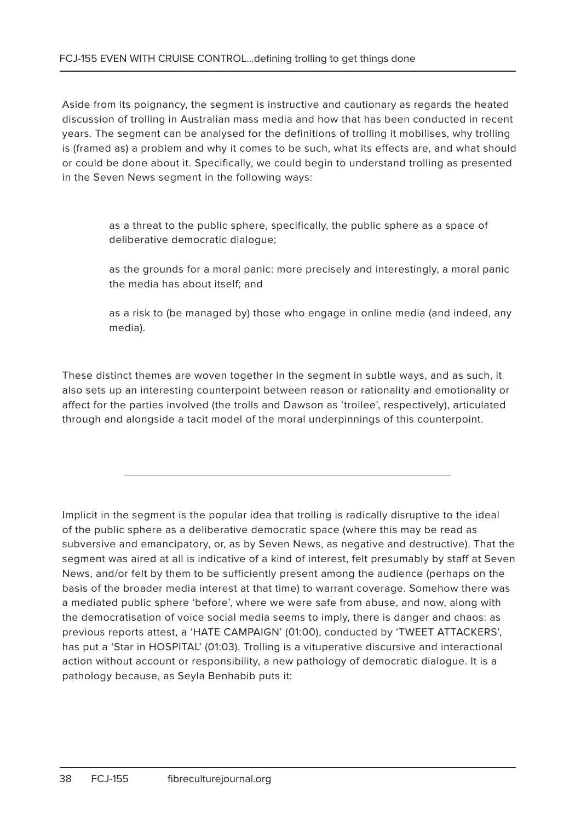Aside from its poignancy, the segment is instructive and cautionary as regards the heated discussion of trolling in Australian mass media and how that has been conducted in recent years. The segment can be analysed for the definitions of trolling it mobilises, why trolling is (framed as) a problem and why it comes to be such, what its effects are, and what should or could be done about it. Specifically, we could begin to understand trolling as presented in the Seven News segment in the following ways:

> as a threat to the public sphere, specifically, the public sphere as a space of deliberative democratic dialogue;

as the grounds for a moral panic: more precisely and interestingly, a moral panic the media has about itself; and

as a risk to (be managed by) those who engage in online media (and indeed, any media).

These distinct themes are woven together in the segment in subtle ways, and as such, it also sets up an interesting counterpoint between reason or rationality and emotionality or affect for the parties involved (the trolls and Dawson as 'trollee', respectively), articulated through and alongside a tacit model of the moral underpinnings of this counterpoint.

Implicit in the segment is the popular idea that trolling is radically disruptive to the ideal of the public sphere as a deliberative democratic space (where this may be read as subversive and emancipatory, or, as by Seven News, as negative and destructive). That the segment was aired at all is indicative of a kind of interest, felt presumably by staff at Seven News, and/or felt by them to be sufficiently present among the audience (perhaps on the basis of the broader media interest at that time) to warrant coverage. Somehow there was a mediated public sphere 'before', where we were safe from abuse, and now, along with the democratisation of voice social media seems to imply, there is danger and chaos: as previous reports attest, a 'HATE CAMPAIGN' (01:00), conducted by 'TWEET ATTACKERS', has put a 'Star in HOSPITAL' (01:03). Trolling is a vituperative discursive and interactional action without account or responsibility, a new pathology of democratic dialogue. It is a pathology because, as Seyla Benhabib puts it: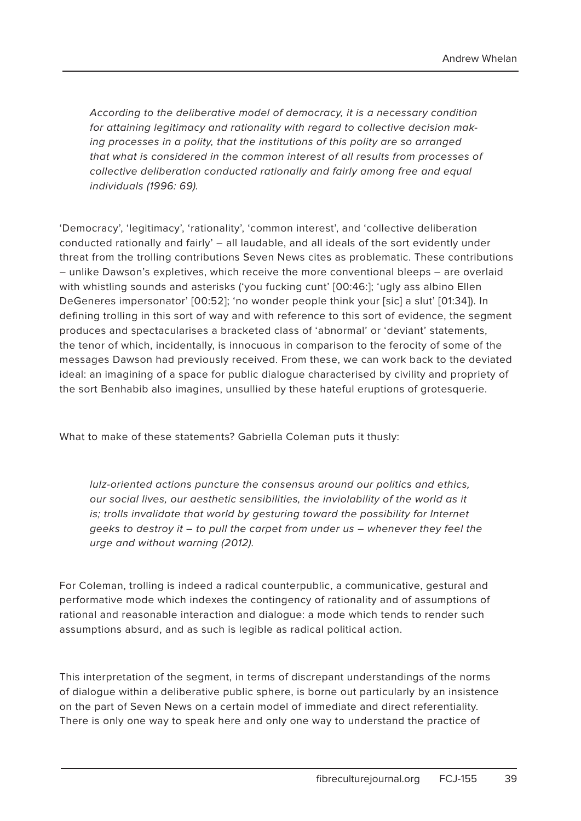According to the deliberative model of democracy, it is a necessary condition for attaining legitimacy and rationality with regard to collective decision making processes in a polity, that the institutions of this polity are so arranged that what is considered in the common interest of all results from processes of collective deliberation conducted rationally and fairly among free and equal individuals (1996: 69).

'Democracy', 'legitimacy', 'rationality', 'common interest', and 'collective deliberation conducted rationally and fairly' – all laudable, and all ideals of the sort evidently under threat from the trolling contributions Seven News cites as problematic. These contributions – unlike Dawson's expletives, which receive the more conventional bleeps – are overlaid with whistling sounds and asterisks ('you fucking cunt' [00:46:]; 'ugly ass albino Ellen DeGeneres impersonator' [00:52]; 'no wonder people think your [sic] a slut' [01:34]). In defining trolling in this sort of way and with reference to this sort of evidence, the segment produces and spectacularises a bracketed class of 'abnormal' or 'deviant' statements, the tenor of which, incidentally, is innocuous in comparison to the ferocity of some of the messages Dawson had previously received. From these, we can work back to the deviated ideal: an imagining of a space for public dialogue characterised by civility and propriety of the sort Benhabib also imagines, unsullied by these hateful eruptions of grotesquerie.

What to make of these statements? Gabriella Coleman puts it thusly:

lulz-oriented actions puncture the consensus around our politics and ethics, our social lives, our aesthetic sensibilities, the inviolability of the world as it is; trolls invalidate that world by gesturing toward the possibility for Internet geeks to destroy it – to pull the carpet from under us – whenever they feel the urge and without warning (2012).

For Coleman, trolling is indeed a radical counterpublic, a communicative, gestural and performative mode which indexes the contingency of rationality and of assumptions of rational and reasonable interaction and dialogue: a mode which tends to render such assumptions absurd, and as such is legible as radical political action.

This interpretation of the segment, in terms of discrepant understandings of the norms of dialogue within a deliberative public sphere, is borne out particularly by an insistence on the part of Seven News on a certain model of immediate and direct referentiality. There is only one way to speak here and only one way to understand the practice of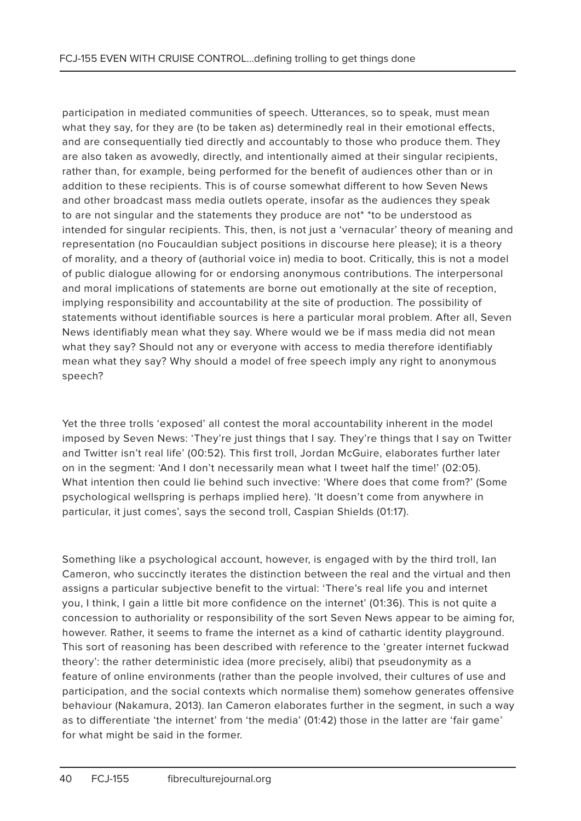participation in mediated communities of speech. Utterances, so to speak, must mean what they say, for they are (to be taken as) determinedly real in their emotional effects, and are consequentially tied directly and accountably to those who produce them. They are also taken as avowedly, directly, and intentionally aimed at their singular recipients, rather than, for example, being performed for the benefit of audiences other than or in addition to these recipients. This is of course somewhat different to how Seven News and other broadcast mass media outlets operate, insofar as the audiences they speak to are not singular and the statements they produce are not\* \*to be understood as intended for singular recipients. This, then, is not just a 'vernacular' theory of meaning and representation (no Foucauldian subject positions in discourse here please); it is a theory of morality, and a theory of (authorial voice in) media to boot. Critically, this is not a model of public dialogue allowing for or endorsing anonymous contributions. The interpersonal and moral implications of statements are borne out emotionally at the site of reception, implying responsibility and accountability at the site of production. The possibility of statements without identifiable sources is here a particular moral problem. After all, Seven News identifiably mean what they say. Where would we be if mass media did not mean what they say? Should not any or everyone with access to media therefore identifiably mean what they say? Why should a model of free speech imply any right to anonymous speech?

Yet the three trolls 'exposed' all contest the moral accountability inherent in the model imposed by Seven News: 'They're just things that I say. They're things that I say on Twitter and Twitter isn't real life' (00:52). This first troll, Jordan McGuire, elaborates further later on in the segment: 'And I don't necessarily mean what I tweet half the time!' (02:05). What intention then could lie behind such invective: 'Where does that come from?' (Some psychological wellspring is perhaps implied here). 'It doesn't come from anywhere in particular, it just comes', says the second troll, Caspian Shields (01:17).

Something like a psychological account, however, is engaged with by the third troll, Ian Cameron, who succinctly iterates the distinction between the real and the virtual and then assigns a particular subjective benefit to the virtual: 'There's real life you and internet you, I think, I gain a little bit more confidence on the internet' (01:36). This is not quite a concession to authoriality or responsibility of the sort Seven News appear to be aiming for, however. Rather, it seems to frame the internet as a kind of cathartic identity playground. This sort of reasoning has been described with reference to the 'greater internet fuckwad theory': the rather deterministic idea (more precisely, alibi) that pseudonymity as a feature of online environments (rather than the people involved, their cultures of use and participation, and the social contexts which normalise them) somehow generates offensive behaviour (Nakamura, 2013). Ian Cameron elaborates further in the segment, in such a way as to differentiate 'the internet' from 'the media' (01:42) those in the latter are 'fair game' for what might be said in the former.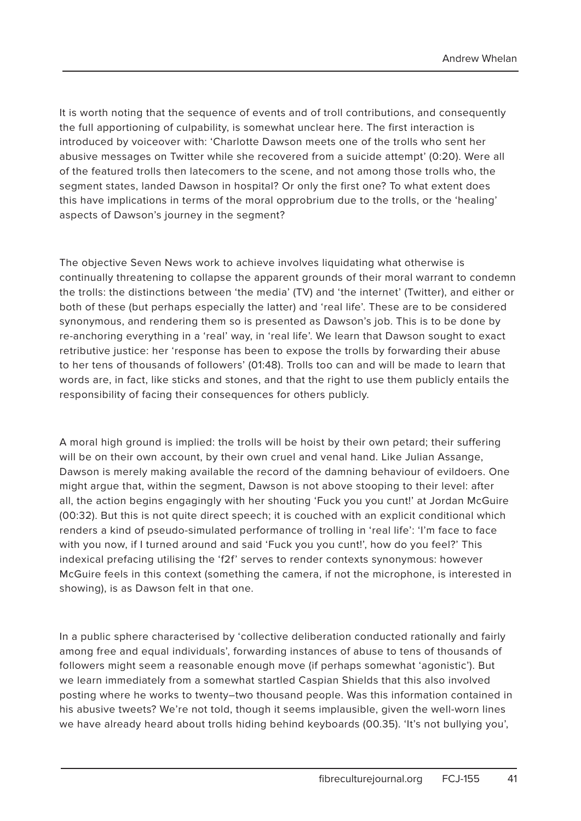It is worth noting that the sequence of events and of troll contributions, and consequently the full apportioning of culpability, is somewhat unclear here. The first interaction is introduced by voiceover with: 'Charlotte Dawson meets one of the trolls who sent her abusive messages on Twitter while she recovered from a suicide attempt' (0:20). Were all of the featured trolls then latecomers to the scene, and not among those trolls who, the segment states, landed Dawson in hospital? Or only the first one? To what extent does this have implications in terms of the moral opprobrium due to the trolls, or the 'healing' aspects of Dawson's journey in the segment?

The objective Seven News work to achieve involves liquidating what otherwise is continually threatening to collapse the apparent grounds of their moral warrant to condemn the trolls: the distinctions between 'the media' (TV) and 'the internet' (Twitter), and either or both of these (but perhaps especially the latter) and 'real life'. These are to be considered synonymous, and rendering them so is presented as Dawson's job. This is to be done by re-anchoring everything in a 'real' way, in 'real life'. We learn that Dawson sought to exact retributive justice: her 'response has been to expose the trolls by forwarding their abuse to her tens of thousands of followers' (01:48). Trolls too can and will be made to learn that words are, in fact, like sticks and stones, and that the right to use them publicly entails the responsibility of facing their consequences for others publicly.

A moral high ground is implied: the trolls will be hoist by their own petard; their suffering will be on their own account, by their own cruel and venal hand. Like Julian Assange, Dawson is merely making available the record of the damning behaviour of evildoers. One might argue that, within the segment, Dawson is not above stooping to their level: after all, the action begins engagingly with her shouting 'Fuck you you cunt!' at Jordan McGuire (00:32). But this is not quite direct speech; it is couched with an explicit conditional which renders a kind of pseudo-simulated performance of trolling in 'real life': 'I'm face to face with you now, if I turned around and said 'Fuck you you cunt!', how do you feel?' This indexical prefacing utilising the 'f2f' serves to render contexts synonymous: however McGuire feels in this context (something the camera, if not the microphone, is interested in showing), is as Dawson felt in that one.

In a public sphere characterised by 'collective deliberation conducted rationally and fairly among free and equal individuals', forwarding instances of abuse to tens of thousands of followers might seem a reasonable enough move (if perhaps somewhat 'agonistic'). But we learn immediately from a somewhat startled Caspian Shields that this also involved posting where he works to twenty–two thousand people. Was this information contained in his abusive tweets? We're not told, though it seems implausible, given the well-worn lines we have already heard about trolls hiding behind keyboards (00.35). 'It's not bullying you',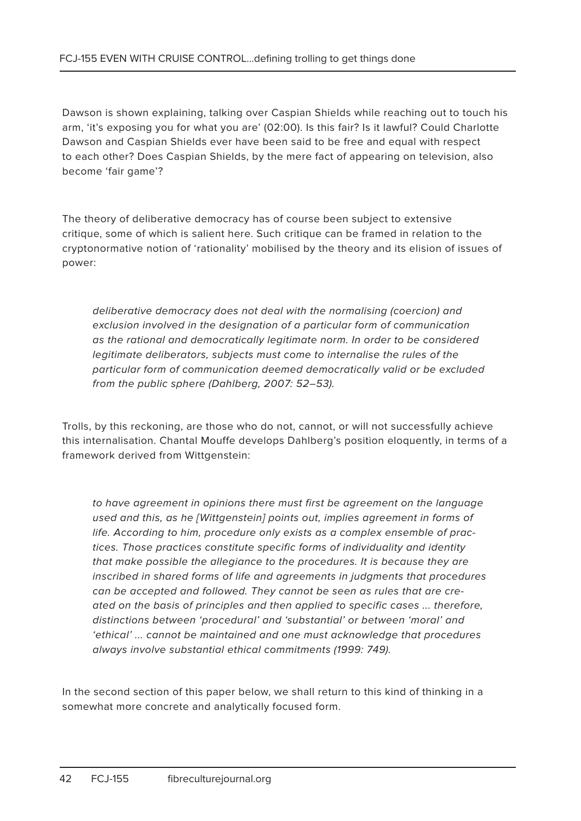Dawson is shown explaining, talking over Caspian Shields while reaching out to touch his arm, 'it's exposing you for what you are' (02:00). Is this fair? Is it lawful? Could Charlotte Dawson and Caspian Shields ever have been said to be free and equal with respect to each other? Does Caspian Shields, by the mere fact of appearing on television, also become 'fair game'?

The theory of deliberative democracy has of course been subject to extensive critique, some of which is salient here. Such critique can be framed in relation to the cryptonormative notion of 'rationality' mobilised by the theory and its elision of issues of power:

deliberative democracy does not deal with the normalising (coercion) and exclusion involved in the designation of a particular form of communication as the rational and democratically legitimate norm. In order to be considered legitimate deliberators, subjects must come to internalise the rules of the particular form of communication deemed democratically valid or be excluded from the public sphere (Dahlberg, 2007: 52–53).

Trolls, by this reckoning, are those who do not, cannot, or will not successfully achieve this internalisation. Chantal Mouffe develops Dahlberg's position eloquently, in terms of a framework derived from Wittgenstein:

to have agreement in opinions there must first be agreement on the language used and this, as he [Wittgenstein] points out, implies agreement in forms of life. According to him, procedure only exists as a complex ensemble of practices. Those practices constitute specific forms of individuality and identity that make possible the allegiance to the procedures. It is because they are inscribed in shared forms of life and agreements in judgments that procedures can be accepted and followed. They cannot be seen as rules that are created on the basis of principles and then applied to specific cases ... therefore, distinctions between 'procedural' and 'substantial' or between 'moral' and 'ethical' ... cannot be maintained and one must acknowledge that procedures always involve substantial ethical commitments (1999: 749).

In the second section of this paper below, we shall return to this kind of thinking in a somewhat more concrete and analytically focused form.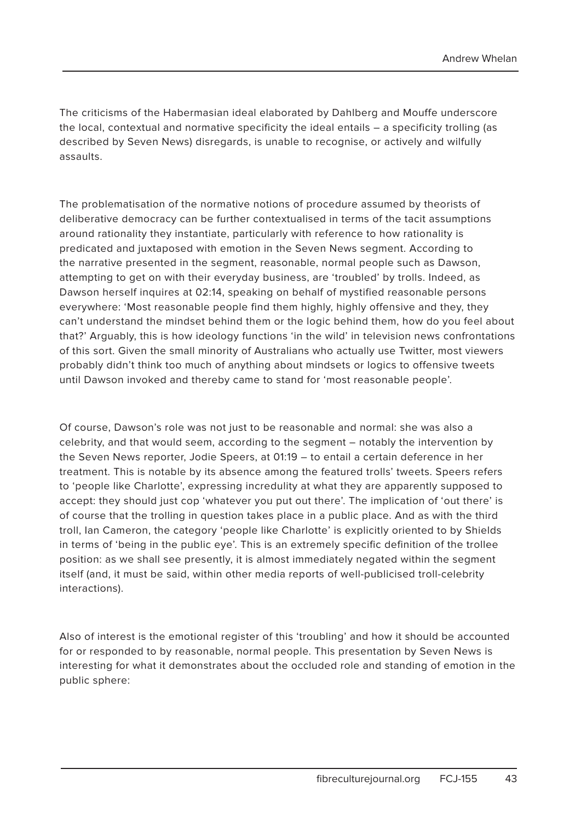The criticisms of the Habermasian ideal elaborated by Dahlberg and Mouffe underscore the local, contextual and normative specificity the ideal entails – a specificity trolling (as described by Seven News) disregards, is unable to recognise, or actively and wilfully assaults.

The problematisation of the normative notions of procedure assumed by theorists of deliberative democracy can be further contextualised in terms of the tacit assumptions around rationality they instantiate, particularly with reference to how rationality is predicated and juxtaposed with emotion in the Seven News segment. According to the narrative presented in the segment, reasonable, normal people such as Dawson, attempting to get on with their everyday business, are 'troubled' by trolls. Indeed, as Dawson herself inquires at 02:14, speaking on behalf of mystified reasonable persons everywhere: 'Most reasonable people find them highly, highly offensive and they, they can't understand the mindset behind them or the logic behind them, how do you feel about that?' Arguably, this is how ideology functions 'in the wild' in television news confrontations of this sort. Given the small minority of Australians who actually use Twitter, most viewers probably didn't think too much of anything about mindsets or logics to offensive tweets until Dawson invoked and thereby came to stand for 'most reasonable people'.

Of course, Dawson's role was not just to be reasonable and normal: she was also a celebrity, and that would seem, according to the segment – notably the intervention by the Seven News reporter, Jodie Speers, at 01:19 – to entail a certain deference in her treatment. This is notable by its absence among the featured trolls' tweets. Speers refers to 'people like Charlotte', expressing incredulity at what they are apparently supposed to accept: they should just cop 'whatever you put out there'. The implication of 'out there' is of course that the trolling in question takes place in a public place. And as with the third troll, Ian Cameron, the category 'people like Charlotte' is explicitly oriented to by Shields in terms of 'being in the public eye'. This is an extremely specific definition of the trollee position: as we shall see presently, it is almost immediately negated within the segment itself (and, it must be said, within other media reports of well-publicised troll-celebrity interactions).

Also of interest is the emotional register of this 'troubling' and how it should be accounted for or responded to by reasonable, normal people. This presentation by Seven News is interesting for what it demonstrates about the occluded role and standing of emotion in the public sphere: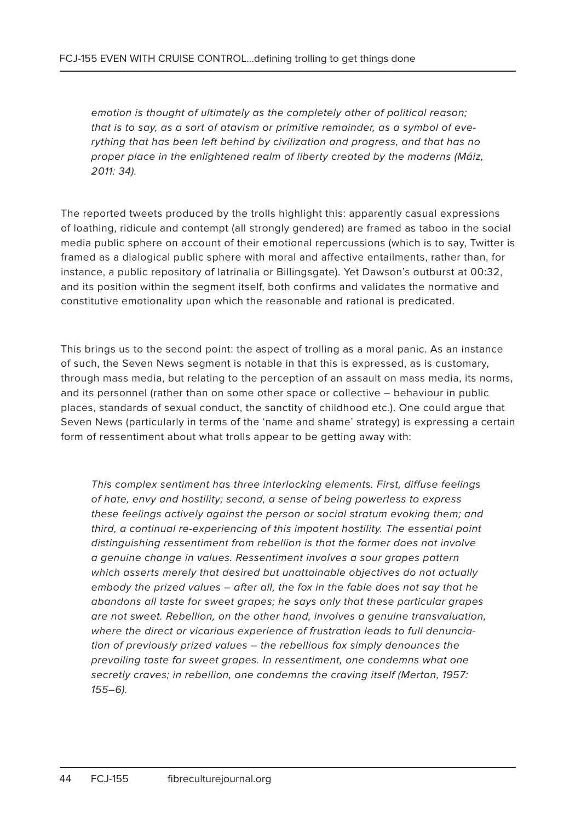emotion is thought of ultimately as the completely other of political reason; that is to say, as a sort of atavism or primitive remainder, as a symbol of everything that has been left behind by civilization and progress, and that has no proper place in the enlightened realm of liberty created by the moderns (Máiz, 2011: 34).

The reported tweets produced by the trolls highlight this: apparently casual expressions of loathing, ridicule and contempt (all strongly gendered) are framed as taboo in the social media public sphere on account of their emotional repercussions (which is to say, Twitter is framed as a dialogical public sphere with moral and affective entailments, rather than, for instance, a public repository of latrinalia or Billingsgate). Yet Dawson's outburst at 00:32, and its position within the segment itself, both confirms and validates the normative and constitutive emotionality upon which the reasonable and rational is predicated.

This brings us to the second point: the aspect of trolling as a moral panic. As an instance of such, the Seven News segment is notable in that this is expressed, as is customary, through mass media, but relating to the perception of an assault on mass media, its norms, and its personnel (rather than on some other space or collective – behaviour in public places, standards of sexual conduct, the sanctity of childhood etc.). One could argue that Seven News (particularly in terms of the 'name and shame' strategy) is expressing a certain form of ressentiment about what trolls appear to be getting away with:

This complex sentiment has three interlocking elements. First, diffuse feelings of hate, envy and hostility; second, a sense of being powerless to express these feelings actively against the person or social stratum evoking them; and third, a continual re-experiencing of this impotent hostility. The essential point distinguishing ressentiment from rebellion is that the former does not involve a genuine change in values. Ressentiment involves a sour grapes pattern which asserts merely that desired but unattainable objectives do not actually embody the prized values – after all, the fox in the fable does not say that he abandons all taste for sweet grapes; he says only that these particular grapes are not sweet. Rebellion, on the other hand, involves a genuine transvaluation, where the direct or vicarious experience of frustration leads to full denunciation of previously prized values – the rebellious fox simply denounces the prevailing taste for sweet grapes. In ressentiment, one condemns what one secretly craves; in rebellion, one condemns the craving itself (Merton, 1957: 155–6).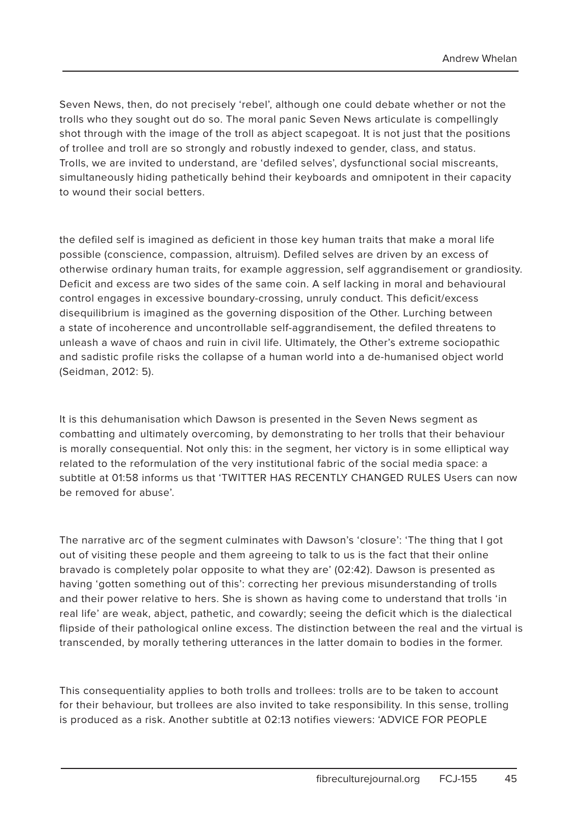Seven News, then, do not precisely 'rebel', although one could debate whether or not the trolls who they sought out do so. The moral panic Seven News articulate is compellingly shot through with the image of the troll as abject scapegoat. It is not just that the positions of trollee and troll are so strongly and robustly indexed to gender, class, and status. Trolls, we are invited to understand, are 'defiled selves', dysfunctional social miscreants, simultaneously hiding pathetically behind their keyboards and omnipotent in their capacity to wound their social betters.

the defiled self is imagined as deficient in those key human traits that make a moral life possible (conscience, compassion, altruism). Defiled selves are driven by an excess of otherwise ordinary human traits, for example aggression, self aggrandisement or grandiosity. Deficit and excess are two sides of the same coin. A self lacking in moral and behavioural control engages in excessive boundary-crossing, unruly conduct. This deficit/excess disequilibrium is imagined as the governing disposition of the Other. Lurching between a state of incoherence and uncontrollable self-aggrandisement, the defiled threatens to unleash a wave of chaos and ruin in civil life. Ultimately, the Other's extreme sociopathic and sadistic profile risks the collapse of a human world into a de-humanised object world (Seidman, 2012: 5).

It is this dehumanisation which Dawson is presented in the Seven News segment as combatting and ultimately overcoming, by demonstrating to her trolls that their behaviour is morally consequential. Not only this: in the segment, her victory is in some elliptical way related to the reformulation of the very institutional fabric of the social media space: a subtitle at 01:58 informs us that 'TWITTER HAS RECENTLY CHANGED RULES Users can now be removed for abuse'.

The narrative arc of the segment culminates with Dawson's 'closure': 'The thing that I got out of visiting these people and them agreeing to talk to us is the fact that their online bravado is completely polar opposite to what they are' (02:42). Dawson is presented as having 'gotten something out of this': correcting her previous misunderstanding of trolls and their power relative to hers. She is shown as having come to understand that trolls 'in real life' are weak, abject, pathetic, and cowardly; seeing the deficit which is the dialectical flipside of their pathological online excess. The distinction between the real and the virtual is transcended, by morally tethering utterances in the latter domain to bodies in the former.

This consequentiality applies to both trolls and trollees: trolls are to be taken to account for their behaviour, but trollees are also invited to take responsibility. In this sense, trolling is produced as a risk. Another subtitle at 02:13 notifies viewers: 'ADVICE FOR PEOPLE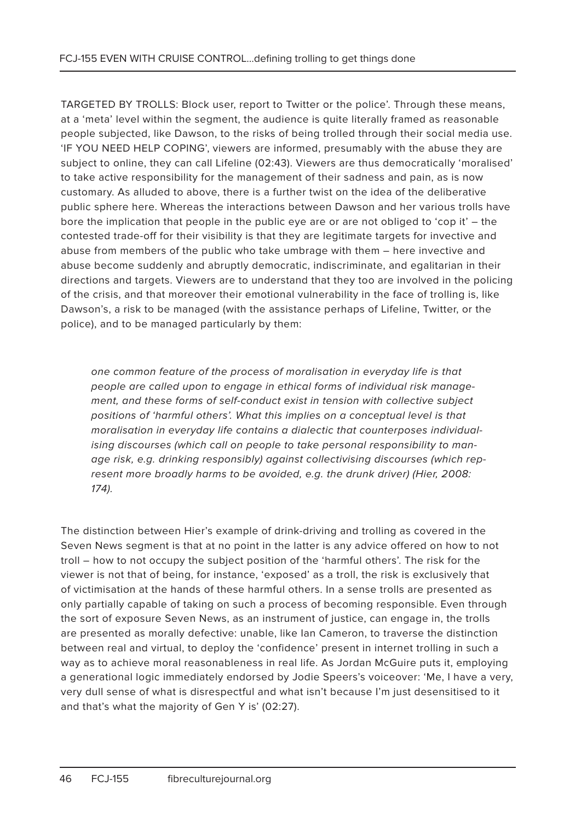TARGETED BY TROLLS: Block user, report to Twitter or the police'. Through these means, at a 'meta' level within the segment, the audience is quite literally framed as reasonable people subjected, like Dawson, to the risks of being trolled through their social media use. 'IF YOU NEED HELP COPING', viewers are informed, presumably with the abuse they are subject to online, they can call Lifeline (02:43). Viewers are thus democratically 'moralised' to take active responsibility for the management of their sadness and pain, as is now customary. As alluded to above, there is a further twist on the idea of the deliberative public sphere here. Whereas the interactions between Dawson and her various trolls have bore the implication that people in the public eye are or are not obliged to 'cop it' – the contested trade-off for their visibility is that they are legitimate targets for invective and abuse from members of the public who take umbrage with them – here invective and abuse become suddenly and abruptly democratic, indiscriminate, and egalitarian in their directions and targets. Viewers are to understand that they too are involved in the policing of the crisis, and that moreover their emotional vulnerability in the face of trolling is, like Dawson's, a risk to be managed (with the assistance perhaps of Lifeline, Twitter, or the police), and to be managed particularly by them:

one common feature of the process of moralisation in everyday life is that people are called upon to engage in ethical forms of individual risk management, and these forms of self-conduct exist in tension with collective subject positions of 'harmful others'. What this implies on a conceptual level is that moralisation in everyday life contains a dialectic that counterposes individualising discourses (which call on people to take personal responsibility to manage risk, e.g. drinking responsibly) against collectivising discourses (which represent more broadly harms to be avoided, e.g. the drunk driver) (Hier, 2008: 174).

The distinction between Hier's example of drink-driving and trolling as covered in the Seven News segment is that at no point in the latter is any advice offered on how to not troll – how to not occupy the subject position of the 'harmful others'. The risk for the viewer is not that of being, for instance, 'exposed' as a troll, the risk is exclusively that of victimisation at the hands of these harmful others. In a sense trolls are presented as only partially capable of taking on such a process of becoming responsible. Even through the sort of exposure Seven News, as an instrument of justice, can engage in, the trolls are presented as morally defective: unable, like Ian Cameron, to traverse the distinction between real and virtual, to deploy the 'confidence' present in internet trolling in such a way as to achieve moral reasonableness in real life. As Jordan McGuire puts it, employing a generational logic immediately endorsed by Jodie Speers's voiceover: 'Me, I have a very, very dull sense of what is disrespectful and what isn't because I'm just desensitised to it and that's what the majority of Gen Y is' (02:27).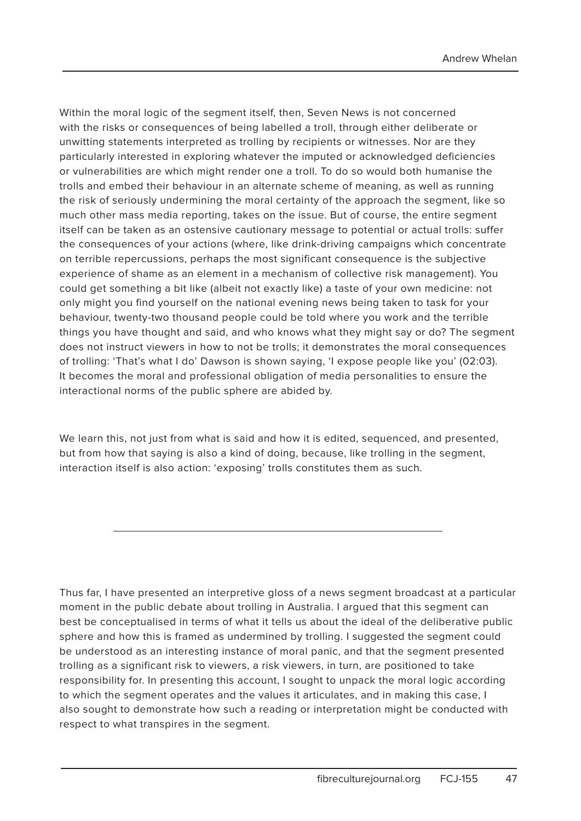Within the moral logic of the segment itself, then, Seven News is not concerned with the risks or consequences of being labelled a troll, through either deliberate or unwitting statements interpreted as trolling by recipients or witnesses. Nor are they particularly interested in exploring whatever the imputed or acknowledged deficiencies or vulnerabilities are which might render one a troll. To do so would both humanise the trolls and embed their behaviour in an alternate scheme of meaning, as well as running the risk of seriously undermining the moral certainty of the approach the segment, like so much other mass media reporting, takes on the issue. But of course, the entire segment itself can be taken as an ostensive cautionary message to potential or actual trolls: suffer the consequences of your actions (where, like drink-driving campaigns which concentrate on terrible repercussions, perhaps the most significant consequence is the subjective experience of shame as an element in a mechanism of collective risk management). You could get something a bit like (albeit not exactly like) a taste of your own medicine: not only might you find yourself on the national evening news being taken to task for your behaviour, twenty-two thousand people could be told where you work and the terrible things you have thought and said, and who knows what they might say or do? The segment does not instruct viewers in how to not be trolls; it demonstrates the moral consequences of trolling: 'That's what I do' Dawson is shown saying, 'I expose people like you' (02:03). It becomes the moral and professional obligation of media personalities to ensure the interactional norms of the public sphere are abided by.

We learn this, not just from what is said and how it is edited, sequenced, and presented, but from how that saying is also a kind of doing, because, like trolling in the segment, interaction itself is also action: 'exposing' trolls constitutes them as such.

Thus far, I have presented an interpretive gloss of a news segment broadcast at a particular moment in the public debate about trolling in Australia. I argued that this segment can best be conceptualised in terms of what it tells us about the ideal of the deliberative public sphere and how this is framed as undermined by trolling. I suggested the segment could be understood as an interesting instance of moral panic, and that the segment presented trolling as a significant risk to viewers, a risk viewers, in turn, are positioned to take responsibility for. In presenting this account, I sought to unpack the moral logic according to which the segment operates and the values it articulates, and in making this case, I also sought to demonstrate how such a reading or interpretation might be conducted with respect to what transpires in the segment.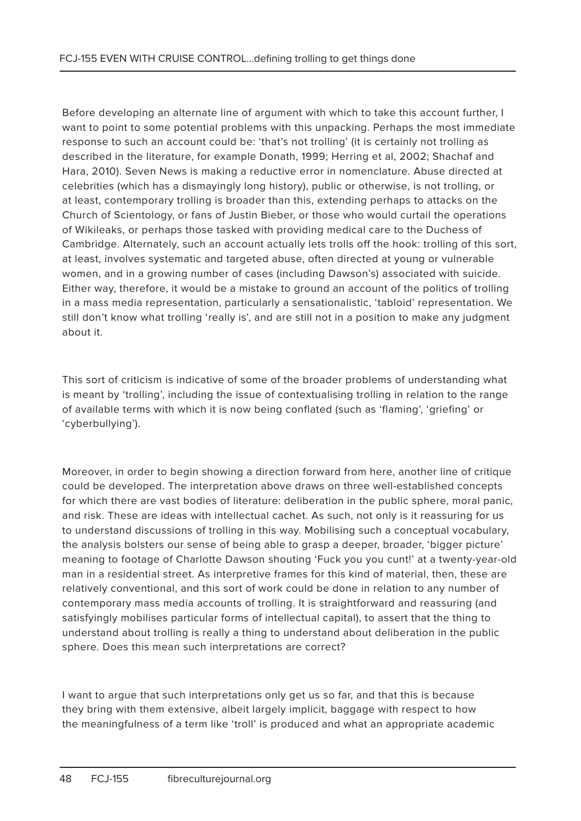Before developing an alternate line of argument with which to take this account further, I want to point to some potential problems with this unpacking. Perhaps the most immediate response to such an account could be: 'that's not trolling' (it is certainly not trolling as described in the literature, for example Donath, 1999; Herring et al, 2002; Shachaf and Hara, 2010). Seven News is making a reductive error in nomenclature. Abuse directed at celebrities (which has a dismayingly long history), public or otherwise, is not trolling, or at least, contemporary trolling is broader than this, extending perhaps to attacks on the Church of Scientology, or fans of Justin Bieber, or those who would curtail the operations of Wikileaks, or perhaps those tasked with providing medical care to the Duchess of Cambridge. Alternately, such an account actually lets trolls off the hook: trolling of this sort, at least, involves systematic and targeted abuse, often directed at young or vulnerable women, and in a growing number of cases (including Dawson's) associated with suicide. Either way, therefore, it would be a mistake to ground an account of the politics of trolling in a mass media representation, particularly a sensationalistic, 'tabloid' representation. We still don't know what trolling 'really is', and are still not in a position to make any judgment about it.

This sort of criticism is indicative of some of the broader problems of understanding what is meant by 'trolling', including the issue of contextualising trolling in relation to the range of available terms with which it is now being conflated (such as 'flaming', 'griefing' or 'cyberbullying').

Moreover, in order to begin showing a direction forward from here, another line of critique could be developed. The interpretation above draws on three well-established concepts for which there are vast bodies of literature: deliberation in the public sphere, moral panic, and risk. These are ideas with intellectual cachet. As such, not only is it reassuring for us to understand discussions of trolling in this way. Mobilising such a conceptual vocabulary, the analysis bolsters our sense of being able to grasp a deeper, broader, 'bigger picture' meaning to footage of Charlotte Dawson shouting 'Fuck you you cunt!' at a twenty-year-old man in a residential street. As interpretive frames for this kind of material, then, these are relatively conventional, and this sort of work could be done in relation to any number of contemporary mass media accounts of trolling. It is straightforward and reassuring (and satisfyingly mobilises particular forms of intellectual capital), to assert that the thing to understand about trolling is really a thing to understand about deliberation in the public sphere. Does this mean such interpretations are correct?

I want to argue that such interpretations only get us so far, and that this is because they bring with them extensive, albeit largely implicit, baggage with respect to how the meaningfulness of a term like 'troll' is produced and what an appropriate academic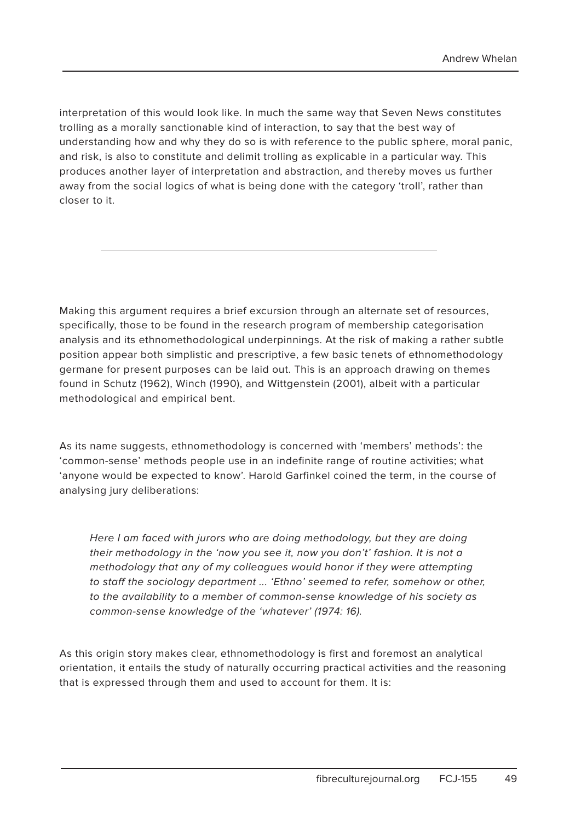interpretation of this would look like. In much the same way that Seven News constitutes trolling as a morally sanctionable kind of interaction, to say that the best way of understanding how and why they do so is with reference to the public sphere, moral panic, and risk, is also to constitute and delimit trolling as explicable in a particular way. This produces another layer of interpretation and abstraction, and thereby moves us further away from the social logics of what is being done with the category 'troll', rather than closer to it.

Making this argument requires a brief excursion through an alternate set of resources, specifically, those to be found in the research program of membership categorisation analysis and its ethnomethodological underpinnings. At the risk of making a rather subtle position appear both simplistic and prescriptive, a few basic tenets of ethnomethodology germane for present purposes can be laid out. This is an approach drawing on themes found in Schutz (1962), Winch (1990), and Wittgenstein (2001), albeit with a particular methodological and empirical bent.

As its name suggests, ethnomethodology is concerned with 'members' methods': the 'common-sense' methods people use in an indefinite range of routine activities; what 'anyone would be expected to know'. Harold Garfinkel coined the term, in the course of analysing jury deliberations:

Here I am faced with jurors who are doing methodology, but they are doing their methodology in the 'now you see it, now you don't' fashion. It is not a methodology that any of my colleagues would honor if they were attempting to staff the sociology department ... 'Ethno' seemed to refer, somehow or other, to the availability to a member of common-sense knowledge of his society as common-sense knowledge of the 'whatever' (1974: 16).

As this origin story makes clear, ethnomethodology is first and foremost an analytical orientation, it entails the study of naturally occurring practical activities and the reasoning that is expressed through them and used to account for them. It is: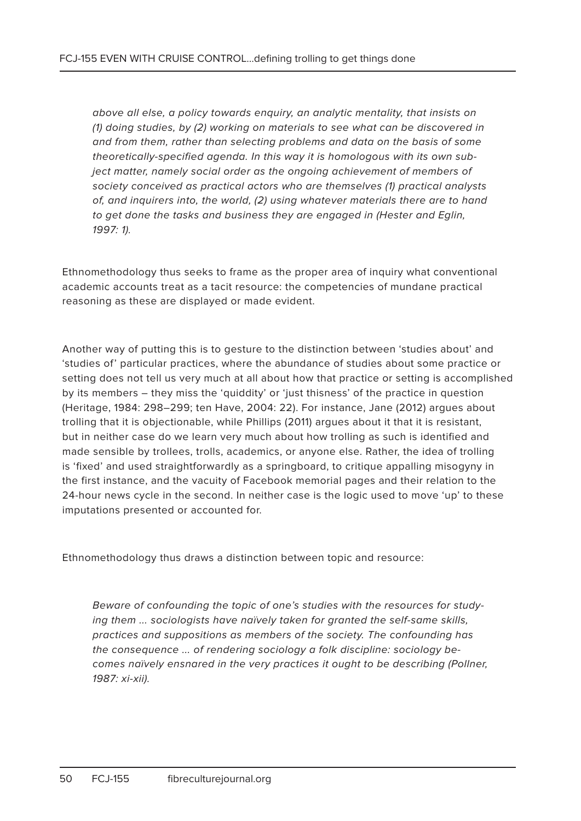above all else, a policy towards enquiry, an analytic mentality, that insists on (1) doing studies, by (2) working on materials to see what can be discovered in and from them, rather than selecting problems and data on the basis of some theoretically-specified agenda. In this way it is homologous with its own subject matter, namely social order as the ongoing achievement of members of society conceived as practical actors who are themselves (1) practical analysts of, and inquirers into, the world, (2) using whatever materials there are to hand to get done the tasks and business they are engaged in (Hester and Eglin, 1997: 1).

Ethnomethodology thus seeks to frame as the proper area of inquiry what conventional academic accounts treat as a tacit resource: the competencies of mundane practical reasoning as these are displayed or made evident.

Another way of putting this is to gesture to the distinction between 'studies about' and 'studies of' particular practices, where the abundance of studies about some practice or setting does not tell us very much at all about how that practice or setting is accomplished by its members – they miss the 'quiddity' or 'just thisness' of the practice in question (Heritage, 1984: 298–299; ten Have, 2004: 22). For instance, Jane (2012) argues about trolling that it is objectionable, while Phillips (2011) argues about it that it is resistant, but in neither case do we learn very much about how trolling as such is identified and made sensible by trollees, trolls, academics, or anyone else. Rather, the idea of trolling is 'fixed' and used straightforwardly as a springboard, to critique appalling misogyny in the first instance, and the vacuity of Facebook memorial pages and their relation to the 24-hour news cycle in the second. In neither case is the logic used to move 'up' to these imputations presented or accounted for.

Ethnomethodology thus draws a distinction between topic and resource:

Beware of confounding the topic of one's studies with the resources for studying them ... sociologists have naïvely taken for granted the self-same skills, practices and suppositions as members of the society. The confounding has the consequence ... of rendering sociology a folk discipline: sociology becomes naïvely ensnared in the very practices it ought to be describing (Pollner, 1987: xi-xii).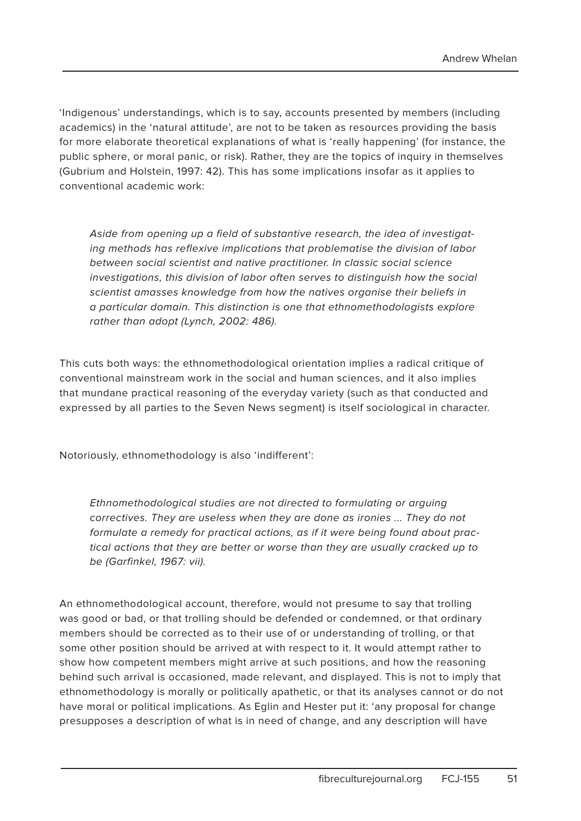'Indigenous' understandings, which is to say, accounts presented by members (including academics) in the 'natural attitude', are not to be taken as resources providing the basis for more elaborate theoretical explanations of what is 'really happening' (for instance, the public sphere, or moral panic, or risk). Rather, they are the topics of inquiry in themselves (Gubrium and Holstein, 1997: 42). This has some implications insofar as it applies to conventional academic work:

Aside from opening up a field of substantive research, the idea of investigating methods has reflexive implications that problematise the division of labor between social scientist and native practitioner. In classic social science investigations, this division of labor often serves to distinguish how the social scientist amasses knowledge from how the natives organise their beliefs in a particular domain. This distinction is one that ethnomethodologists explore rather than adopt (Lynch, 2002: 486).

This cuts both ways: the ethnomethodological orientation implies a radical critique of conventional mainstream work in the social and human sciences, and it also implies that mundane practical reasoning of the everyday variety (such as that conducted and expressed by all parties to the Seven News segment) is itself sociological in character.

Notoriously, ethnomethodology is also 'indifferent':

Ethnomethodological studies are not directed to formulating or arguing correctives. They are useless when they are done as ironies ... They do not formulate a remedy for practical actions, as if it were being found about practical actions that they are better or worse than they are usually cracked up to be (Garfinkel, 1967: vii).

An ethnomethodological account, therefore, would not presume to say that trolling was good or bad, or that trolling should be defended or condemned, or that ordinary members should be corrected as to their use of or understanding of trolling, or that some other position should be arrived at with respect to it. It would attempt rather to show how competent members might arrive at such positions, and how the reasoning behind such arrival is occasioned, made relevant, and displayed. This is not to imply that ethnomethodology is morally or politically apathetic, or that its analyses cannot or do not have moral or political implications. As Eglin and Hester put it: 'any proposal for change presupposes a description of what is in need of change, and any description will have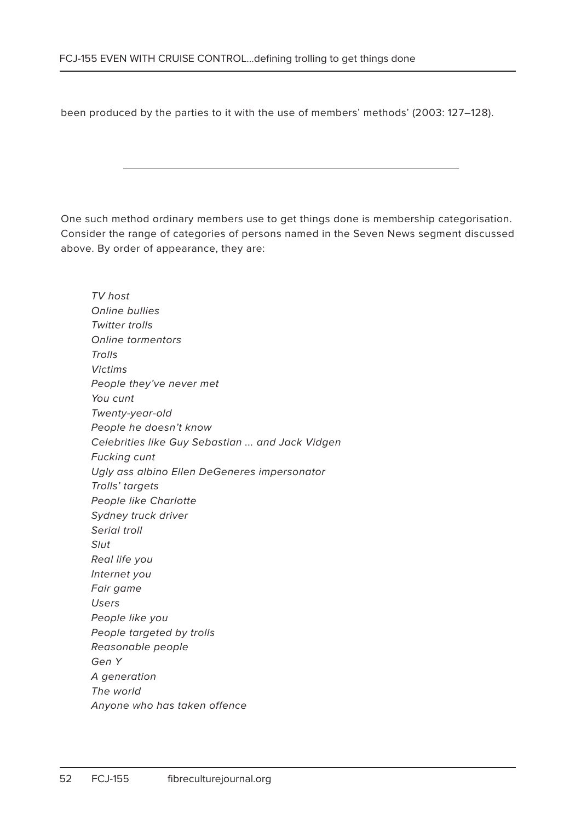been produced by the parties to it with the use of members' methods' (2003: 127–128).

One such method ordinary members use to get things done is membership categorisation. Consider the range of categories of persons named in the Seven News segment discussed above. By order of appearance, they are:

TV host Online bullies Twitter trolls Online tormentors **Trolls** Victims People they've never met You cunt Twenty-year-old People he doesn't know Celebrities like Guy Sebastian ... and Jack Vidgen Fucking cunt Ugly ass albino Ellen DeGeneres impersonator Trolls' targets People like Charlotte Sydney truck driver Serial troll Slut Real life you Internet you Fair game Users People like you People targeted by trolls Reasonable people Gen Y A generation The world Anyone who has taken offence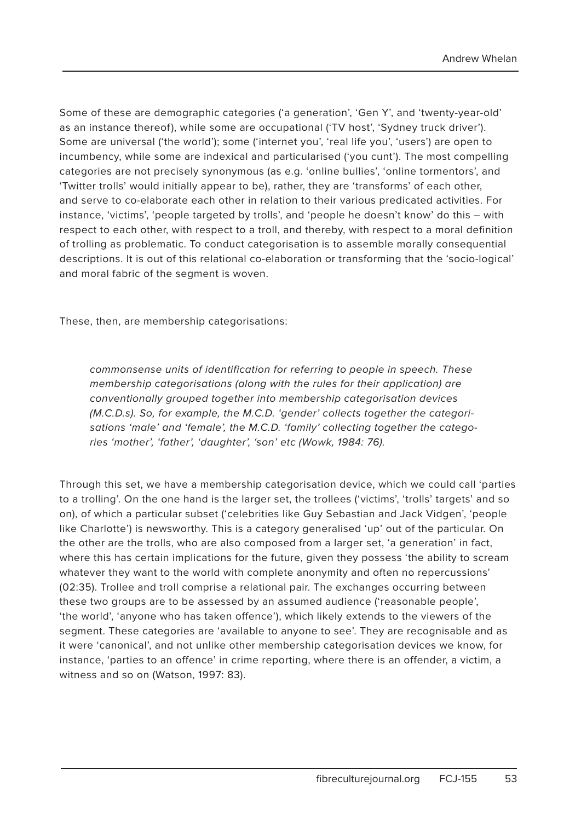Some of these are demographic categories ('a generation', 'Gen Y', and 'twenty-year-old' as an instance thereof), while some are occupational ('TV host', 'Sydney truck driver'). Some are universal ('the world'); some ('internet you', 'real life you', 'users') are open to incumbency, while some are indexical and particularised ('you cunt'). The most compelling categories are not precisely synonymous (as e.g. 'online bullies', 'online tormentors', and 'Twitter trolls' would initially appear to be), rather, they are 'transforms' of each other, and serve to co-elaborate each other in relation to their various predicated activities. For instance, 'victims', 'people targeted by trolls', and 'people he doesn't know' do this – with respect to each other, with respect to a troll, and thereby, with respect to a moral definition of trolling as problematic. To conduct categorisation is to assemble morally consequential descriptions. It is out of this relational co-elaboration or transforming that the 'socio-logical' and moral fabric of the segment is woven.

These, then, are membership categorisations:

commonsense units of identification for referring to people in speech. These membership categorisations (along with the rules for their application) are conventionally grouped together into membership categorisation devices (M.C.D.s). So, for example, the M.C.D. 'gender' collects together the categorisations 'male' and 'female', the M.C.D. 'family' collecting together the categories 'mother', 'father', 'daughter', 'son' etc (Wowk, 1984: 76).

Through this set, we have a membership categorisation device, which we could call 'parties to a trolling'. On the one hand is the larger set, the trollees ('victims', 'trolls' targets' and so on), of which a particular subset ('celebrities like Guy Sebastian and Jack Vidgen', 'people like Charlotte') is newsworthy. This is a category generalised 'up' out of the particular. On the other are the trolls, who are also composed from a larger set, 'a generation' in fact, where this has certain implications for the future, given they possess 'the ability to scream whatever they want to the world with complete anonymity and often no repercussions' (02:35). Trollee and troll comprise a relational pair. The exchanges occurring between these two groups are to be assessed by an assumed audience ('reasonable people', 'the world', 'anyone who has taken offence'), which likely extends to the viewers of the segment. These categories are 'available to anyone to see'. They are recognisable and as it were 'canonical', and not unlike other membership categorisation devices we know, for instance, 'parties to an offence' in crime reporting, where there is an offender, a victim, a witness and so on (Watson, 1997: 83).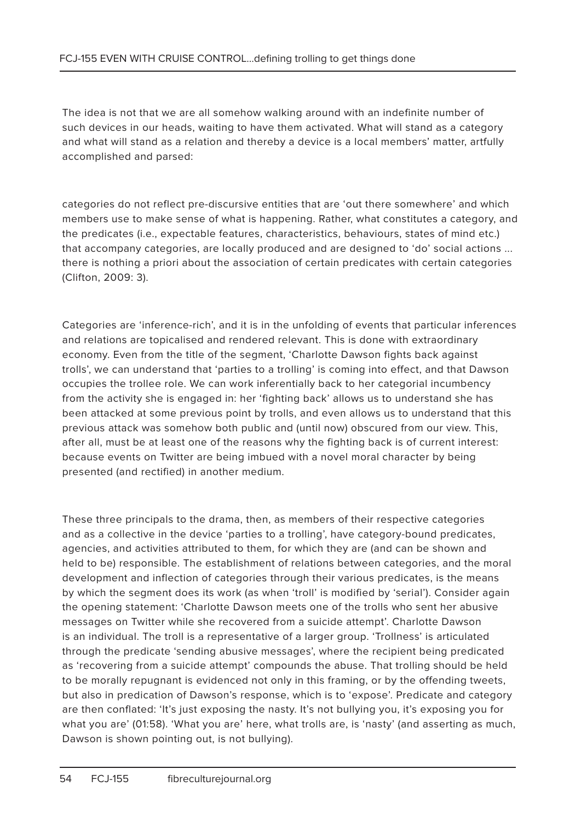The idea is not that we are all somehow walking around with an indefinite number of such devices in our heads, waiting to have them activated. What will stand as a category and what will stand as a relation and thereby a device is a local members' matter, artfully accomplished and parsed:

categories do not reflect pre-discursive entities that are 'out there somewhere' and which members use to make sense of what is happening. Rather, what constitutes a category, and the predicates (i.e., expectable features, characteristics, behaviours, states of mind etc.) that accompany categories, are locally produced and are designed to 'do' social actions ... there is nothing a priori about the association of certain predicates with certain categories (Clifton, 2009: 3).

Categories are 'inference-rich', and it is in the unfolding of events that particular inferences and relations are topicalised and rendered relevant. This is done with extraordinary economy. Even from the title of the segment, 'Charlotte Dawson fights back against trolls', we can understand that 'parties to a trolling' is coming into effect, and that Dawson occupies the trollee role. We can work inferentially back to her categorial incumbency from the activity she is engaged in: her 'fighting back' allows us to understand she has been attacked at some previous point by trolls, and even allows us to understand that this previous attack was somehow both public and (until now) obscured from our view. This, after all, must be at least one of the reasons why the fighting back is of current interest: because events on Twitter are being imbued with a novel moral character by being presented (and rectified) in another medium.

These three principals to the drama, then, as members of their respective categories and as a collective in the device 'parties to a trolling', have category-bound predicates, agencies, and activities attributed to them, for which they are (and can be shown and held to be) responsible. The establishment of relations between categories, and the moral development and inflection of categories through their various predicates, is the means by which the segment does its work (as when 'troll' is modified by 'serial'). Consider again the opening statement: 'Charlotte Dawson meets one of the trolls who sent her abusive messages on Twitter while she recovered from a suicide attempt'. Charlotte Dawson is an individual. The troll is a representative of a larger group. 'Trollness' is articulated through the predicate 'sending abusive messages', where the recipient being predicated as 'recovering from a suicide attempt' compounds the abuse. That trolling should be held to be morally repugnant is evidenced not only in this framing, or by the offending tweets, but also in predication of Dawson's response, which is to 'expose'. Predicate and category are then conflated: 'It's just exposing the nasty. It's not bullying you, it's exposing you for what you are' (01:58). 'What you are' here, what trolls are, is 'nasty' (and asserting as much, Dawson is shown pointing out, is not bullying).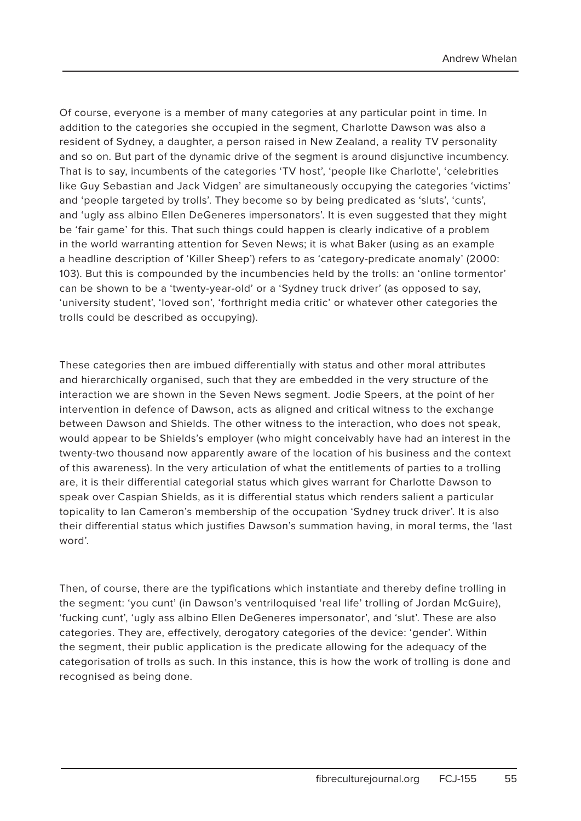Of course, everyone is a member of many categories at any particular point in time. In addition to the categories she occupied in the segment, Charlotte Dawson was also a resident of Sydney, a daughter, a person raised in New Zealand, a reality TV personality and so on. But part of the dynamic drive of the segment is around disjunctive incumbency. That is to say, incumbents of the categories 'TV host', 'people like Charlotte', 'celebrities like Guy Sebastian and Jack Vidgen' are simultaneously occupying the categories 'victims' and 'people targeted by trolls'. They become so by being predicated as 'sluts', 'cunts', and 'ugly ass albino Ellen DeGeneres impersonators'. It is even suggested that they might be 'fair game' for this. That such things could happen is clearly indicative of a problem in the world warranting attention for Seven News; it is what Baker (using as an example a headline description of 'Killer Sheep') refers to as 'category-predicate anomaly' (2000: 103). But this is compounded by the incumbencies held by the trolls: an 'online tormentor' can be shown to be a 'twenty-year-old' or a 'Sydney truck driver' (as opposed to say, 'university student', 'loved son', 'forthright media critic' or whatever other categories the trolls could be described as occupying).

These categories then are imbued differentially with status and other moral attributes and hierarchically organised, such that they are embedded in the very structure of the interaction we are shown in the Seven News segment. Jodie Speers, at the point of her intervention in defence of Dawson, acts as aligned and critical witness to the exchange between Dawson and Shields. The other witness to the interaction, who does not speak, would appear to be Shields's employer (who might conceivably have had an interest in the twenty-two thousand now apparently aware of the location of his business and the context of this awareness). In the very articulation of what the entitlements of parties to a trolling are, it is their differential categorial status which gives warrant for Charlotte Dawson to speak over Caspian Shields, as it is differential status which renders salient a particular topicality to Ian Cameron's membership of the occupation 'Sydney truck driver'. It is also their differential status which justifies Dawson's summation having, in moral terms, the 'last word'.

Then, of course, there are the typifications which instantiate and thereby define trolling in the segment: 'you cunt' (in Dawson's ventriloquised 'real life' trolling of Jordan McGuire), 'fucking cunt', 'ugly ass albino Ellen DeGeneres impersonator', and 'slut'. These are also categories. They are, effectively, derogatory categories of the device: 'gender'. Within the segment, their public application is the predicate allowing for the adequacy of the categorisation of trolls as such. In this instance, this is how the work of trolling is done and recognised as being done.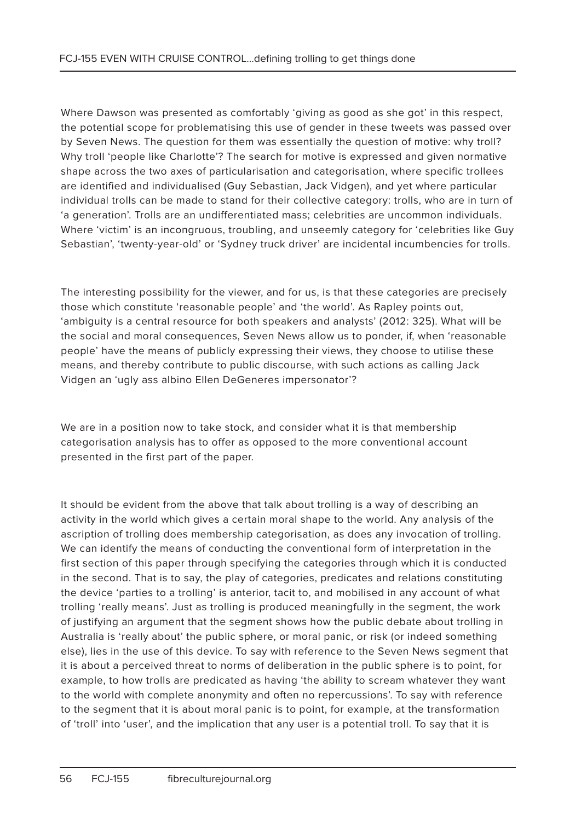Where Dawson was presented as comfortably 'giving as good as she got' in this respect, the potential scope for problematising this use of gender in these tweets was passed over by Seven News. The question for them was essentially the question of motive: why troll? Why troll 'people like Charlotte'? The search for motive is expressed and given normative shape across the two axes of particularisation and categorisation, where specific trollees are identified and individualised (Guy Sebastian, Jack Vidgen), and yet where particular individual trolls can be made to stand for their collective category: trolls, who are in turn of 'a generation'. Trolls are an undifferentiated mass; celebrities are uncommon individuals. Where 'victim' is an incongruous, troubling, and unseemly category for 'celebrities like Guy Sebastian', 'twenty-year-old' or 'Sydney truck driver' are incidental incumbencies for trolls.

The interesting possibility for the viewer, and for us, is that these categories are precisely those which constitute 'reasonable people' and 'the world'. As Rapley points out, 'ambiguity is a central resource for both speakers and analysts' (2012: 325). What will be the social and moral consequences, Seven News allow us to ponder, if, when 'reasonable people' have the means of publicly expressing their views, they choose to utilise these means, and thereby contribute to public discourse, with such actions as calling Jack Vidgen an 'ugly ass albino Ellen DeGeneres impersonator'?

We are in a position now to take stock, and consider what it is that membership categorisation analysis has to offer as opposed to the more conventional account presented in the first part of the paper.

It should be evident from the above that talk about trolling is a way of describing an activity in the world which gives a certain moral shape to the world. Any analysis of the ascription of trolling does membership categorisation, as does any invocation of trolling. We can identify the means of conducting the conventional form of interpretation in the first section of this paper through specifying the categories through which it is conducted in the second. That is to say, the play of categories, predicates and relations constituting the device 'parties to a trolling' is anterior, tacit to, and mobilised in any account of what trolling 'really means'. Just as trolling is produced meaningfully in the segment, the work of justifying an argument that the segment shows how the public debate about trolling in Australia is 'really about' the public sphere, or moral panic, or risk (or indeed something else), lies in the use of this device. To say with reference to the Seven News segment that it is about a perceived threat to norms of deliberation in the public sphere is to point, for example, to how trolls are predicated as having 'the ability to scream whatever they want to the world with complete anonymity and often no repercussions'. To say with reference to the segment that it is about moral panic is to point, for example, at the transformation of 'troll' into 'user', and the implication that any user is a potential troll. To say that it is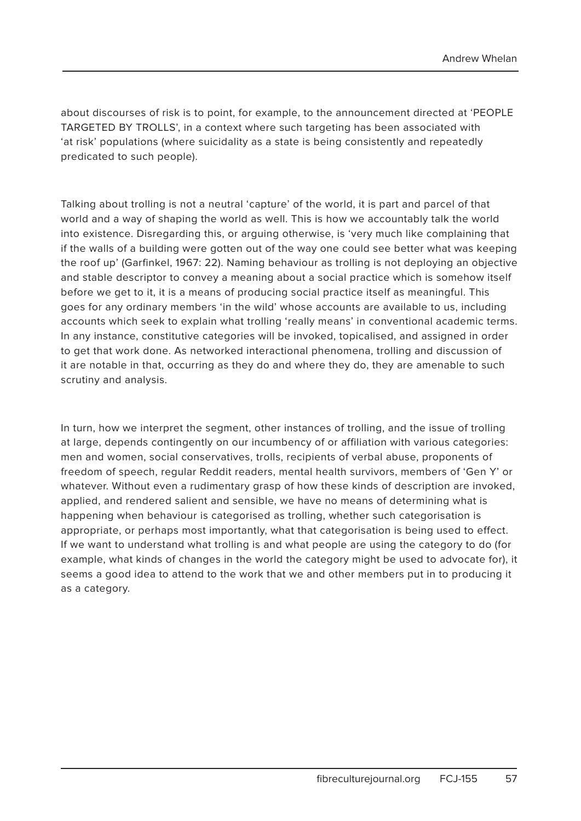about discourses of risk is to point, for example, to the announcement directed at 'PEOPLE TARGETED BY TROLLS', in a context where such targeting has been associated with 'at risk' populations (where suicidality as a state is being consistently and repeatedly predicated to such people).

Talking about trolling is not a neutral 'capture' of the world, it is part and parcel of that world and a way of shaping the world as well. This is how we accountably talk the world into existence. Disregarding this, or arguing otherwise, is 'very much like complaining that if the walls of a building were gotten out of the way one could see better what was keeping the roof up' (Garfinkel, 1967: 22). Naming behaviour as trolling is not deploying an objective and stable descriptor to convey a meaning about a social practice which is somehow itself before we get to it, it is a means of producing social practice itself as meaningful. This goes for any ordinary members 'in the wild' whose accounts are available to us, including accounts which seek to explain what trolling 'really means' in conventional academic terms. In any instance, constitutive categories will be invoked, topicalised, and assigned in order to get that work done. As networked interactional phenomena, trolling and discussion of it are notable in that, occurring as they do and where they do, they are amenable to such scrutiny and analysis.

In turn, how we interpret the segment, other instances of trolling, and the issue of trolling at large, depends contingently on our incumbency of or affiliation with various categories: men and women, social conservatives, trolls, recipients of verbal abuse, proponents of freedom of speech, regular Reddit readers, mental health survivors, members of 'Gen Y' or whatever. Without even a rudimentary grasp of how these kinds of description are invoked, applied, and rendered salient and sensible, we have no means of determining what is happening when behaviour is categorised as trolling, whether such categorisation is appropriate, or perhaps most importantly, what that categorisation is being used to effect. If we want to understand what trolling is and what people are using the category to do (for example, what kinds of changes in the world the category might be used to advocate for), it seems a good idea to attend to the work that we and other members put in to producing it as a category.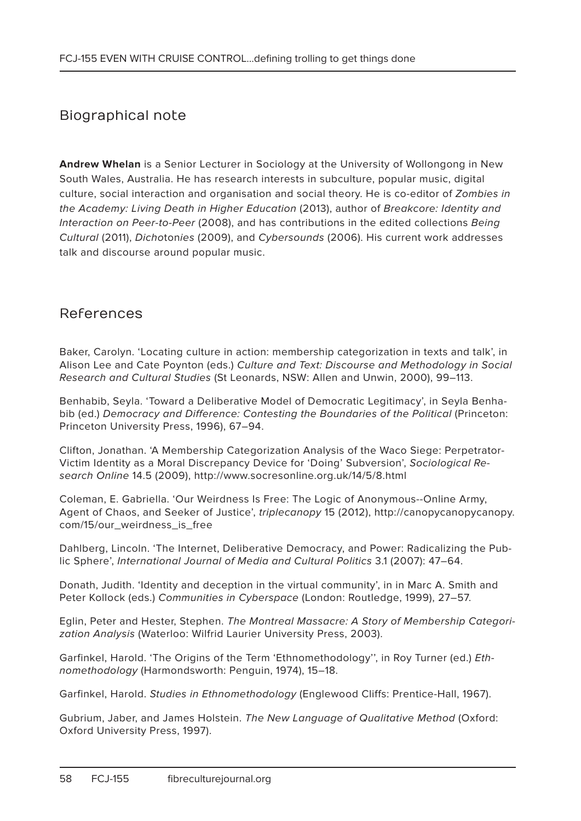#### Biographical note

**Andrew Whelan** is a Senior Lecturer in Sociology at the University of Wollongong in New South Wales, Australia. He has research interests in subculture, popular music, digital culture, social interaction and organisation and social theory. He is co-editor of Zombies in the Academy: Living Death in Higher Education (2013), author of Breakcore: Identity and Interaction on Peer-to-Peer (2008), and has contributions in the edited collections Being Cultural (2011), Dichotonies (2009), and Cybersounds (2006). His current work addresses talk and discourse around popular music.

#### References

Baker, Carolyn. 'Locating culture in action: membership categorization in texts and talk', in Alison Lee and Cate Poynton (eds.) Culture and Text: Discourse and Methodology in Social Research and Cultural Studies (St Leonards, NSW: Allen and Unwin, 2000), 99–113.

Benhabib, Seyla. 'Toward a Deliberative Model of Democratic Legitimacy', in Seyla Benhabib (ed.) Democracy and Difference: Contesting the Boundaries of the Political (Princeton: Princeton University Press, 1996), 67–94.

Clifton, Jonathan. 'A Membership Categorization Analysis of the Waco Siege: Perpetrator-Victim Identity as a Moral Discrepancy Device for 'Doing' Subversion', Sociological Research Online 14.5 (2009), http://www.socresonline.org.uk/14/5/8.html

Coleman, E. Gabriella. 'Our Weirdness Is Free: The Logic of Anonymous--Online Army, Agent of Chaos, and Seeker of Justice', triplecanopy 15 (2012), http://canopycanopycanopy. com/15/our\_weirdness\_is\_free

Dahlberg, Lincoln. 'The Internet, Deliberative Democracy, and Power: Radicalizing the Public Sphere', International Journal of Media and Cultural Politics 3.1 (2007): 47–64.

Donath, Judith. 'Identity and deception in the virtual community', in in Marc A. Smith and Peter Kollock (eds.) Communities in Cyberspace (London: Routledge, 1999), 27–57.

Eglin, Peter and Hester, Stephen. The Montreal Massacre: A Story of Membership Categorization Analysis (Waterloo: Wilfrid Laurier University Press, 2003).

Garfinkel, Harold. 'The Origins of the Term 'Ethnomethodology'', in Roy Turner (ed.) Ethnomethodology (Harmondsworth: Penguin, 1974), 15–18.

Garfinkel, Harold. Studies in Ethnomethodology (Englewood Cliffs: Prentice-Hall, 1967).

Gubrium, Jaber, and James Holstein. The New Language of Qualitative Method (Oxford: Oxford University Press, 1997).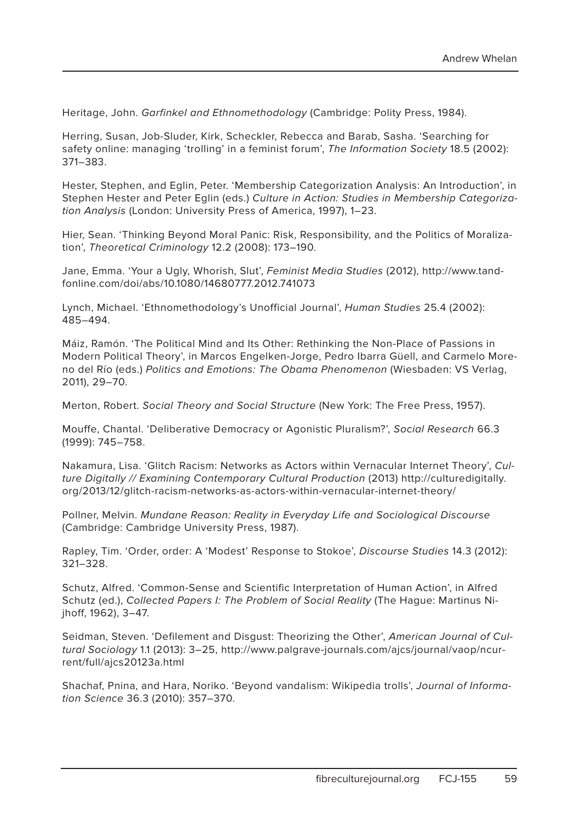Heritage, John. Garfinkel and Ethnomethodology (Cambridge: Polity Press, 1984).

Herring, Susan, Job-Sluder, Kirk, Scheckler, Rebecca and Barab, Sasha. 'Searching for safety online: managing 'trolling' in a feminist forum', The Information Society 18.5 (2002): 371–383.

Hester, Stephen, and Eglin, Peter. 'Membership Categorization Analysis: An Introduction', in Stephen Hester and Peter Eglin (eds.) Culture in Action: Studies in Membership Categorization Analysis (London: University Press of America, 1997), 1–23.

Hier, Sean. 'Thinking Beyond Moral Panic: Risk, Responsibility, and the Politics of Moralization', Theoretical Criminology 12.2 (2008): 173–190.

Jane, Emma. 'Your a Ugly, Whorish, Slut', Feminist Media Studies (2012), http://www.tandfonline.com/doi/abs/10.1080/14680777.2012.741073

Lynch, Michael. 'Ethnomethodology's Unofficial Journal', Human Studies 25.4 (2002): 485–494.

Máiz, Ramón. 'The Political Mind and Its Other: Rethinking the Non-Place of Passions in Modern Political Theory', in Marcos Engelken-Jorge, Pedro Ibarra Güell, and Carmelo Moreno del Río (eds.) Politics and Emotions: The Obama Phenomenon (Wiesbaden: VS Verlag, 2011), 29–70.

Merton, Robert. Social Theory and Social Structure (New York: The Free Press, 1957).

Mouffe, Chantal. 'Deliberative Democracy or Agonistic Pluralism?', Social Research 66.3 (1999): 745–758.

Nakamura, Lisa. 'Glitch Racism: Networks as Actors within Vernacular Internet Theory', Culture Digitally // Examining Contemporary Cultural Production (2013) http://culturedigitally. org/2013/12/glitch-racism-networks-as-actors-within-vernacular-internet-theory/

Pollner, Melvin. Mundane Reason: Reality in Everyday Life and Sociological Discourse (Cambridge: Cambridge University Press, 1987).

Rapley, Tim. 'Order, order: A 'Modest' Response to Stokoe', Discourse Studies 14.3 (2012): 321–328.

Schutz, Alfred. 'Common-Sense and Scientific Interpretation of Human Action', in Alfred Schutz (ed.), Collected Papers I: The Problem of Social Reality (The Hague: Martinus Nijhoff, 1962), 3–47.

Seidman, Steven. 'Defilement and Disgust: Theorizing the Other', American Journal of Cultural Sociology 1.1 (2013): 3–25, http://www.palgrave-journals.com/ajcs/journal/vaop/ncurrent/full/ajcs20123a.html

Shachaf, Pnina, and Hara, Noriko. 'Beyond vandalism: Wikipedia trolls', Journal of Information Science 36.3 (2010): 357–370.